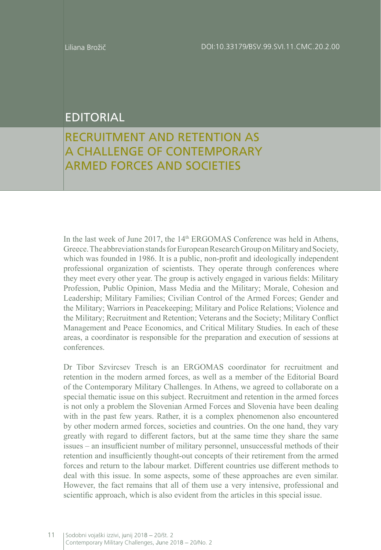## EDITORIAL

## RECRUITMENT AND RETENTION AS A CHALLENGE OF CONTEMPORARY ARMED FORCES AND SOCIETIES

In the last week of June 2017, the  $14<sup>th</sup>$  ERGOMAS Conference was held in Athens, Greece. The abbreviation stands for European Research Group on Military and Society, which was founded in 1986. It is a public, non-profit and ideologically independent professional organization of scientists. They operate through conferences where they meet every other year. The group is actively engaged in various fields: Military Profession, Public Opinion, Mass Media and the Military; Morale, Cohesion and Leadership; Military Families; Civilian Control of the Armed Forces; Gender and the Military; Warriors in Peacekeeping; Military and Police Relations; Violence and the Military; Recruitment and Retention; Veterans and the Society; Military Conflict Management and Peace Economics, and Critical Military Studies. In each of these areas, a coordinator is responsible for the preparation and execution of sessions at conferences.

Dr Tibor Szvircsev Tresch is an ERGOMAS coordinator for recruitment and retention in the modern armed forces, as well as a member of the Editorial Board of the Contemporary Military Challenges. In Athens, we agreed to collaborate on a special thematic issue on this subject. Recruitment and retention in the armed forces is not only a problem the Slovenian Armed Forces and Slovenia have been dealing with in the past few years. Rather, it is a complex phenomenon also encountered by other modern armed forces, societies and countries. On the one hand, they vary greatly with regard to different factors, but at the same time they share the same issues – an insufficient number of military personnel, unsuccessful methods of their retention and insufficiently thought-out concepts of their retirement from the armed forces and return to the labour market. Different countries use different methods to deal with this issue. In some aspects, some of these approaches are even similar. However, the fact remains that all of them use a very intensive, professional and scientific approach, which is also evident from the articles in this special issue.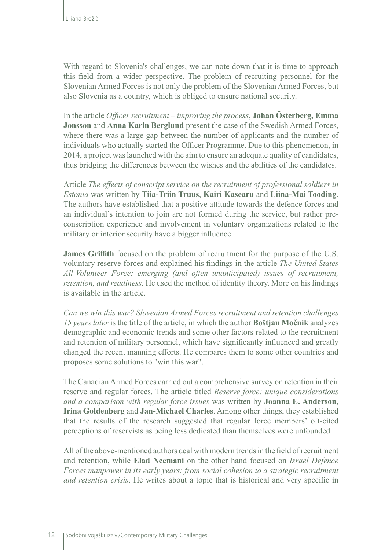With regard to Slovenia's challenges, we can note down that it is time to approach this field from a wider perspective. The problem of recruiting personnel for the Slovenian Armed Forces is not only the problem of the Slovenian Armed Forces, but also Slovenia as a country, which is obliged to ensure national security.

In the article *Officer recruitment – improving the process*, **Johan Österberg, Emma Jonsson** and **Anna Karin Berglund** present the case of the Swedish Armed Forces, where there was a large gap between the number of applicants and the number of individuals who actually started the Officer Programme. Due to this phenomenon, in 2014, a project was launched with the aim to ensure an adequate quality of candidates, thus bridging the differences between the wishes and the abilities of the candidates.

Article *The effects of conscript service on the recruitment of professional soldiers in Estonia* was written by **Tiia-Triin Truus**, **Kairi Kasearu** and **Liina-Mai Tooding**. The authors have established that a positive attitude towards the defence forces and an individual's intention to join are not formed during the service, but rather preconscription experience and involvement in voluntary organizations related to the military or interior security have a bigger influence.

**James Griffith** focused on the problem of recruitment for the purpose of the U.S. voluntary reserve forces and explained his findings in the article *The United States All-Volunteer Force: emerging (and often unanticipated) issues of recruitment, retention, and readiness.* He used the method of identity theory. More on his findings is available in the article.

*Can we win this war? Slovenian Armed Forces recruitment and retention challenges 15 years later* is the title of the article, in which the author **Boštjan Močnik** analyzes demographic and economic trends and some other factors related to the recruitment and retention of military personnel, which have significantly influenced and greatly changed the recent manning efforts. He compares them to some other countries and proposes some solutions to "win this war".

The Canadian Armed Forces carried out a comprehensive survey on retention in their reserve and regular forces. The article titled *Reserve force: unique considerations and a comparison with regular force issues* was written by **Joanna E. Anderson, Irina Goldenberg** and **Jan-Michael Charles**. Among other things, they established that the results of the research suggested that regular force members' oft-cited perceptions of reservists as being less dedicated than themselves were unfounded.

All of the above-mentioned authors deal with modern trends in the field of recruitment and retention, while **Elad Neemani** on the other hand focused on *Israel Defence Forces manpower in its early years: from social cohesion to a strategic recruitment and retention crisis*. He writes about a topic that is historical and very specific in